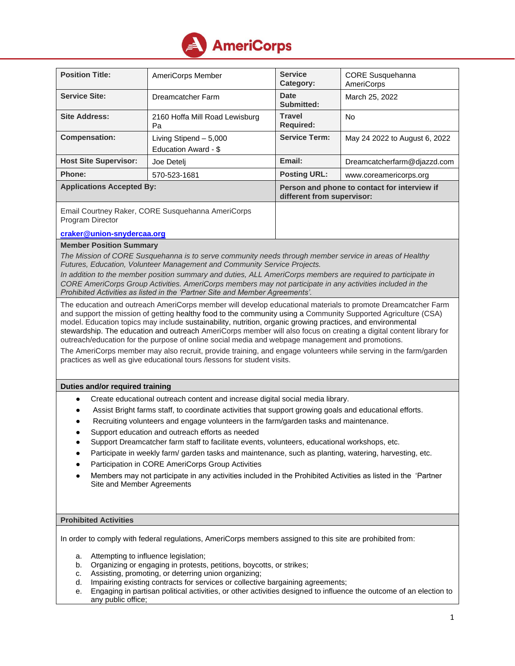

| <b>Position Title:</b>                                                | AmeriCorps Member                              | <b>Service</b><br>Category:                                                | <b>CORE Susquehanna</b><br><b>AmeriCorps</b> |
|-----------------------------------------------------------------------|------------------------------------------------|----------------------------------------------------------------------------|----------------------------------------------|
| <b>Service Site:</b>                                                  | Dreamcatcher Farm                              | Date<br>Submitted:                                                         | March 25, 2022                               |
| <b>Site Address:</b>                                                  | 2160 Hoffa Mill Road Lewisburg<br>Pa           | <b>Travel</b><br><b>Required:</b>                                          | <b>No</b>                                    |
| <b>Compensation:</b>                                                  | Living Stipend - 5,000<br>Education Award - \$ | <b>Service Term:</b>                                                       | May 24 2022 to August 6, 2022                |
| <b>Host Site Supervisor:</b>                                          | Joe Deteli                                     | Email:                                                                     | Dreamcatcherfarm@djazzd.com                  |
| <b>Phone:</b>                                                         | 570-523-1681                                   | <b>Posting URL:</b>                                                        | www.coreamericorps.org                       |
| <b>Applications Accepted By:</b>                                      |                                                | Person and phone to contact for interview if<br>different from supervisor: |                                              |
| Email Courtney Raker, CORE Susquehanna AmeriCorps<br>Program Director |                                                |                                                                            |                                              |

## **[craker@union-snydercaa.org](mailto:lkreider@union-snydercaa.org)**

# **Member Position Summary**

*The Mission of CORE Susquehanna is to serve community needs through member service in areas of Healthy Futures, Education, Volunteer Management and Community Service Projects.*

*In addition to the member position summary and duties, ALL AmeriCorps members are required to participate in CORE AmeriCorps Group Activities. AmeriCorps members may not participate in any activities included in the Prohibited Activities as listed in the 'Partner Site and Member Agreements'.*

The education and outreach AmeriCorps member will develop educational materials to promote Dreamcatcher Farm and support the mission of getting healthy food to the community using a Community Supported Agriculture (CSA) model. Education topics may include sustainability, nutrition, organic growing practices, and environmental stewardship. The education and outreach AmeriCorps member will also focus on creating a digital content library for outreach/education for the purpose of online social media and webpage management and promotions.

The AmeriCorps member may also recruit, provide training, and engage volunteers while serving in the farm/garden practices as well as give educational tours /lessons for student visits.

## **Duties and/or required training**

- Create educational outreach content and increase digital social media library.
- Assist Bright farms staff, to coordinate activities that support growing goals and educational efforts.
- Recruiting volunteers and engage volunteers in the farm/garden tasks and maintenance.
- Support education and outreach efforts as needed
- Support Dreamcatcher farm staff to facilitate events, volunteers, educational workshops, etc.
- Participate in weekly farm/ garden tasks and maintenance, such as planting, watering, harvesting, etc.
- Participation in CORE AmeriCorps Group Activities
- Members may not participate in any activities included in the Prohibited Activities as listed in the 'Partner Site and Member Agreements

# **Prohibited Activities**

In order to comply with federal regulations, AmeriCorps members assigned to this site are prohibited from:

- a. Attempting to influence legislation;
- b. Organizing or engaging in protests, petitions, boycotts, or strikes;
- c. Assisting, promoting, or deterring union organizing;
- d. Impairing existing contracts for services or collective bargaining agreements;
- e. Engaging in partisan political activities, or other activities designed to influence the outcome of an election to any public office;